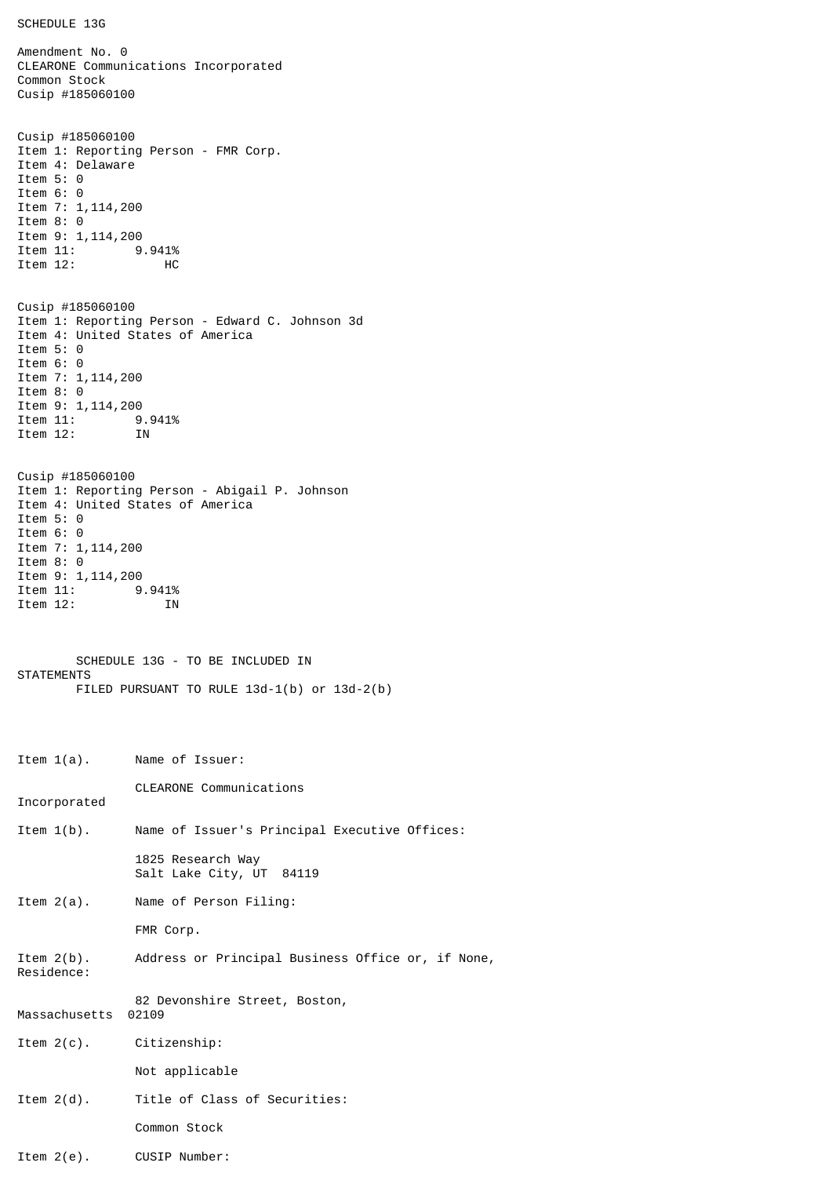```
SCHEDULE 13G
```
Amendment No. 0 CLEARONE Communications Incorporated Common Stock Cusip #185060100 Cusip #185060100 Item 1: Reporting Person - FMR Corp. Item 4: Delaware Item 5: 0 Item 6: 0 Item 7: 1,114,200 Item 8: 0 Item 9: 1,114,200<br>Item 11: 9 9.941% Item 12: HC Cusip #185060100 Item 1: Reporting Person - Edward C. Johnson 3d Item 4: United States of America Item 5: 0 Item 6: 0 Item 7: 1,114,200 Item 8: 0 Item 9: 1,114,200<br>Item 11: 9 9.941% Item 12: IN Cusip #185060100 Item 1: Reporting Person - Abigail P. Johnson Item 4: United States of America Item 5: 0 Item 6: 0 Item 7: 1,114,200 Item 8: 0 Item 9: 1,114,200 1tem 11: 9.941%<br>Item 12: IN Item  $12$ : SCHEDULE 13G - TO BE INCLUDED IN **STATEMENTS** FILED PURSUANT TO RULE 13d-1(b) or 13d-2(b) Item 1(a). Name of Issuer: CLEARONE Communications Incorporated Item 1(b). Name of Issuer's Principal Executive Offices: 1825 Research Way Salt Lake City, UT 84119 Item 2(a). Name of Person Filing: FMR Corp. Item 2(b). Address or Principal Business Office or, if None, Residence: 82 Devonshire Street, Boston, Massachusetts 02109 Item 2(c). Citizenship: Not applicable Item 2(d). Title of Class of Securities: Common Stock Item 2(e). CUSIP Number: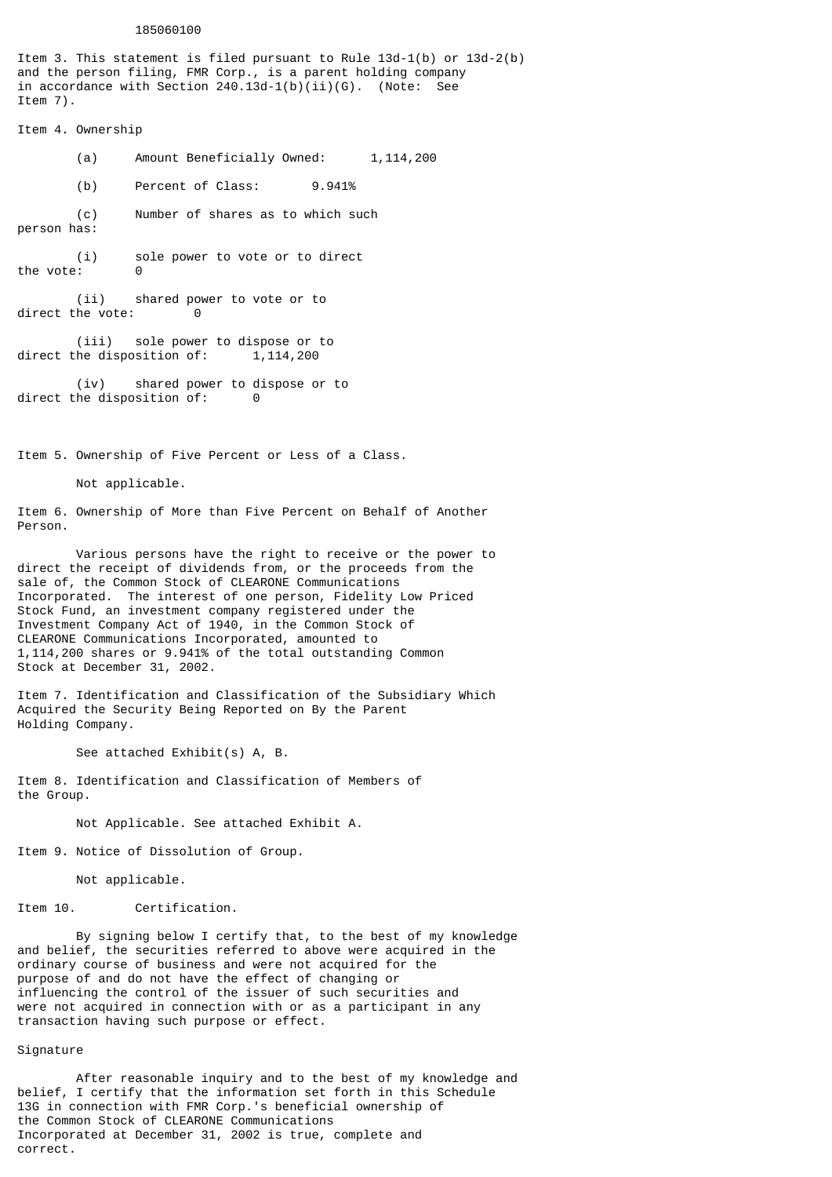## 185060100

Item 3. This statement is filed pursuant to Rule 13d-1(b) or 13d-2(b) and the person filing, FMR Corp., is a parent holding company in accordance with Section 240.13d-1(b)(ii)(G). (Note: See Item 7).

Item 4. Ownership

(a) Amount Beneficially Owned: 1,114,200

(b) Percent of Class: 9.941%

(c) Number of shares as to which such person has:

(i) sole power to vote or to direct the vote:

(ii) shared power to vote or to direct the vote: 0

(iii) sole power to dispose or to direct the disposition of:  $1,114,200$ 

(iv) shared power to dispose or to direct the disposition of: 0

Item 5. Ownership of Five Percent or Less of a Class.

Not applicable.

Item 6. Ownership of More than Five Percent on Behalf of Another Person.

Various persons have the right to receive or the power to direct the receipt of dividends from, or the proceeds from the sale of, the Common Stock of CLEARONE Communications Incorporated. The interest of one person, Fidelity Low Priced Stock Fund, an investment company registered under the Investment Company Act of 1940, in the Common Stock of CLEARONE Communications Incorporated, amounted to 1,114,200 shares or 9.941% of the total outstanding Common Stock at December 31, 2002.

Item 7. Identification and Classification of the Subsidiary Which Acquired the Security Being Reported on By the Parent Holding Company.

See attached Exhibit(s) A, B.

Item 8. Identification and Classification of Members of the Group.

Not Applicable. See attached Exhibit A.

Item 9. Notice of Dissolution of Group.

Not applicable.

Item 10. Certification.

By signing below I certify that, to the best of my knowledge and belief, the securities referred to above were acquired in the ordinary course of business and were not acquired for the purpose of and do not have the effect of changing or influencing the control of the issuer of such securities and were not acquired in connection with or as a participant in any transaction having such purpose or effect.

## Signature

After reasonable inquiry and to the best of my knowledge and belief, I certify that the information set forth in this Schedule 13G in connection with FMR Corp.'s beneficial ownership of the Common Stock of CLEARONE Communications Incorporated at December 31, 2002 is true, complete and correct.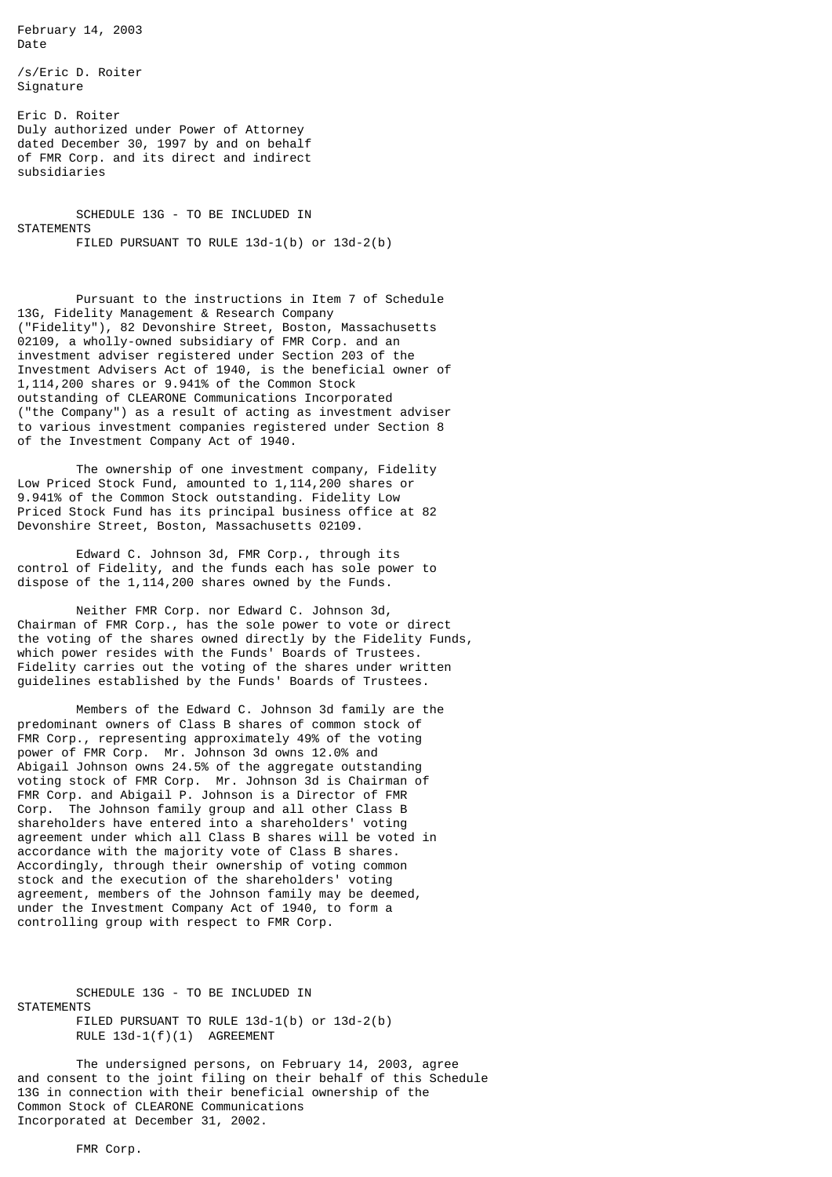February 14, 2003 Date

/s/Eric D. Roiter Signature

Eric D. Roiter Duly authorized under Power of Attorney dated December 30, 1997 by and on behalf of FMR Corp. and its direct and indirect subsidiaries

SCHEDULE 13G - TO BE INCLUDED IN **STATEMENTS** FILED PURSUANT TO RULE 13d-1(b) or 13d-2(b)

Pursuant to the instructions in Item 7 of Schedule 13G, Fidelity Management & Research Company ("Fidelity"), 82 Devonshire Street, Boston, Massachusetts 02109, a wholly-owned subsidiary of FMR Corp. and an investment adviser registered under Section 203 of the Investment Advisers Act of 1940, is the beneficial owner of 1,114,200 shares or 9.941% of the Common Stock outstanding of CLEARONE Communications Incorporated ("the Company") as a result of acting as investment adviser to various investment companies registered under Section 8 of the Investment Company Act of 1940.

The ownership of one investment company, Fidelity Low Priced Stock Fund, amounted to 1,114,200 shares or 9.941% of the Common Stock outstanding. Fidelity Low Priced Stock Fund has its principal business office at 82 Devonshire Street, Boston, Massachusetts 02109.

Edward C. Johnson 3d, FMR Corp., through its control of Fidelity, and the funds each has sole power to dispose of the 1,114,200 shares owned by the Funds.

Neither FMR Corp. nor Edward C. Johnson 3d, Chairman of FMR Corp., has the sole power to vote or direct the voting of the shares owned directly by the Fidelity Funds, which power resides with the Funds' Boards of Trustees. Fidelity carries out the voting of the shares under written guidelines established by the Funds' Boards of Trustees.

Members of the Edward C. Johnson 3d family are the predominant owners of Class B shares of common stock of FMR Corp., representing approximately 49% of the voting power of FMR Corp. Mr. Johnson 3d owns 12.0% and Abigail Johnson owns 24.5% of the aggregate outstanding voting stock of FMR Corp. Mr. Johnson 3d is Chairman of FMR Corp. and Abigail P. Johnson is a Director of FMR Corp. The Johnson family group and all other Class B shareholders have entered into a shareholders' voting agreement under which all Class B shares will be voted in accordance with the majority vote of Class B shares. Accordingly, through their ownership of voting common stock and the execution of the shareholders' voting agreement, members of the Johnson family may be deemed, under the Investment Company Act of 1940, to form a controlling group with respect to FMR Corp.

SCHEDULE 13G - TO BE INCLUDED IN **STATEMENTS** FILED PURSUANT TO RULE 13d-1(b) or 13d-2(b) RULE 13d-1(f)(1) AGREEMENT

The undersigned persons, on February 14, 2003, agree and consent to the joint filing on their behalf of this Schedule 13G in connection with their beneficial ownership of the Common Stock of CLEARONE Communications Incorporated at December 31, 2002.